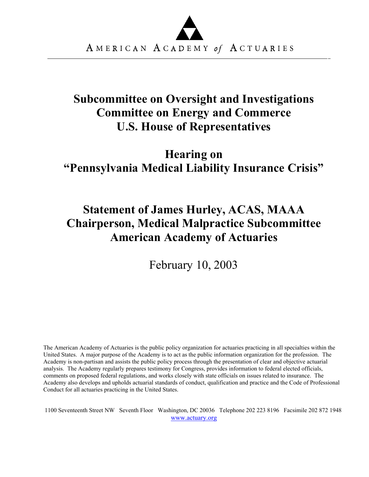

## **Subcommittee on Oversight and Investigations Committee on Energy and Commerce U.S. House of Representatives**

# **Hearing on "Pennsylvania Medical Liability Insurance Crisis"**

# **Statement of James Hurley, ACAS, MAAA Chairperson, Medical Malpractice Subcommittee American Academy of Actuaries**

February 10, 2003

The American Academy of Actuaries is the public policy organization for actuaries practicing in all specialties within the United States. A major purpose of the Academy is to act as the public information organization for the profession. The Academy is non-partisan and assists the public policy process through the presentation of clear and objective actuarial analysis. The Academy regularly prepares testimony for Congress, provides information to federal elected officials, comments on proposed federal regulations, and works closely with state officials on issues related to insurance. The Academy also develops and upholds actuarial standards of conduct, qualification and practice and the Code of Professional Conduct for all actuaries practicing in the United States.

1100 Seventeenth Street NW Seventh Floor Washington, DC 20036 Telephone 202 223 8196 Facsimile 202 872 1948 www.actuary.org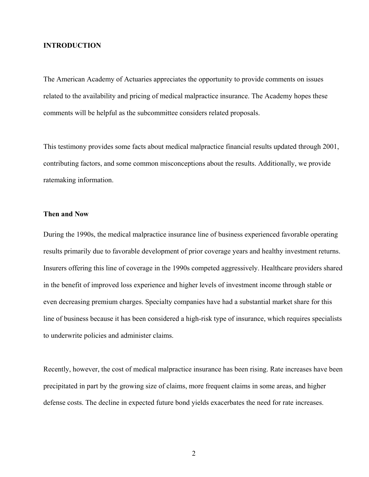#### **INTRODUCTION**

The American Academy of Actuaries appreciates the opportunity to provide comments on issues related to the availability and pricing of medical malpractice insurance. The Academy hopes these comments will be helpful as the subcommittee considers related proposals.

This testimony provides some facts about medical malpractice financial results updated through 2001, contributing factors, and some common misconceptions about the results. Additionally, we provide ratemaking information.

### **Then and Now**

During the 1990s, the medical malpractice insurance line of business experienced favorable operating results primarily due to favorable development of prior coverage years and healthy investment returns. Insurers offering this line of coverage in the 1990s competed aggressively. Healthcare providers shared in the benefit of improved loss experience and higher levels of investment income through stable or even decreasing premium charges. Specialty companies have had a substantial market share for this line of business because it has been considered a high-risk type of insurance, which requires specialists to underwrite policies and administer claims.

Recently, however, the cost of medical malpractice insurance has been rising. Rate increases have been precipitated in part by the growing size of claims, more frequent claims in some areas, and higher defense costs. The decline in expected future bond yields exacerbates the need for rate increases.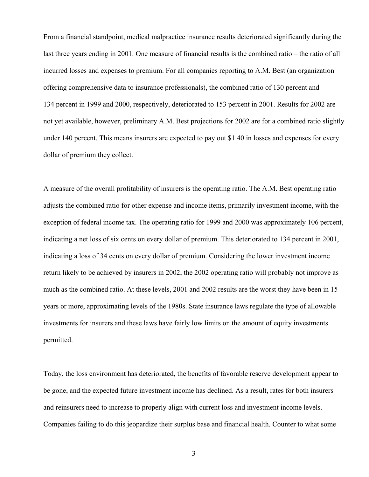From a financial standpoint, medical malpractice insurance results deteriorated significantly during the last three years ending in 2001. One measure of financial results is the combined ratio – the ratio of all incurred losses and expenses to premium. For all companies reporting to A.M. Best (an organization offering comprehensive data to insurance professionals), the combined ratio of 130 percent and 134 percent in 1999 and 2000, respectively, deteriorated to 153 percent in 2001. Results for 2002 are not yet available, however, preliminary A.M. Best projections for 2002 are for a combined ratio slightly under 140 percent. This means insurers are expected to pay out \$1.40 in losses and expenses for every dollar of premium they collect.

A measure of the overall profitability of insurers is the operating ratio. The A.M. Best operating ratio adjusts the combined ratio for other expense and income items, primarily investment income, with the exception of federal income tax. The operating ratio for 1999 and 2000 was approximately 106 percent, indicating a net loss of six cents on every dollar of premium. This deteriorated to 134 percent in 2001, indicating a loss of 34 cents on every dollar of premium. Considering the lower investment income return likely to be achieved by insurers in 2002, the 2002 operating ratio will probably not improve as much as the combined ratio. At these levels, 2001 and 2002 results are the worst they have been in 15 years or more, approximating levels of the 1980s. State insurance laws regulate the type of allowable investments for insurers and these laws have fairly low limits on the amount of equity investments permitted.

Today, the loss environment has deteriorated, the benefits of favorable reserve development appear to be gone, and the expected future investment income has declined. As a result, rates for both insurers and reinsurers need to increase to properly align with current loss and investment income levels. Companies failing to do this jeopardize their surplus base and financial health. Counter to what some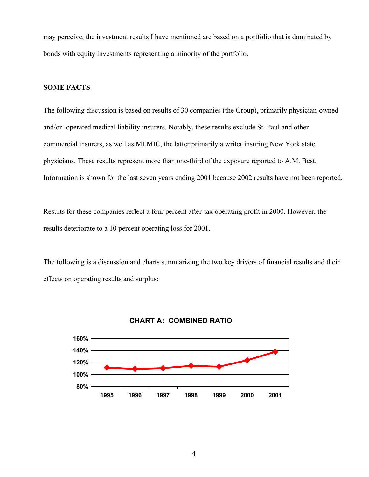may perceive, the investment results I have mentioned are based on a portfolio that is dominated by bonds with equity investments representing a minority of the portfolio.

## **SOME FACTS**

The following discussion is based on results of 30 companies (the Group), primarily physician-owned and/or -operated medical liability insurers. Notably, these results exclude St. Paul and other commercial insurers, as well as MLMIC, the latter primarily a writer insuring New York state physicians. These results represent more than one-third of the exposure reported to A.M. Best. Information is shown for the last seven years ending 2001 because 2002 results have not been reported.

Results for these companies reflect a four percent after-tax operating profit in 2000. However, the results deteriorate to a 10 percent operating loss for 2001.

The following is a discussion and charts summarizing the two key drivers of financial results and their effects on operating results and surplus:



### **CHART A: COMBINED RATIO**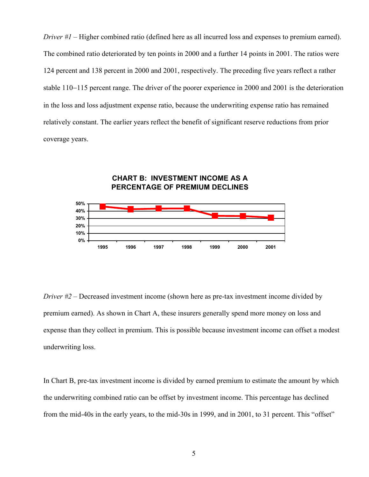*Driver #1* – Higher combined ratio (defined here as all incurred loss and expenses to premium earned). The combined ratio deteriorated by ten points in 2000 and a further 14 points in 2001. The ratios were 124 percent and 138 percent in 2000 and 2001, respectively. The preceding five years reflect a rather stable 110−115 percent range. The driver of the poorer experience in 2000 and 2001 is the deterioration in the loss and loss adjustment expense ratio, because the underwriting expense ratio has remained relatively constant. The earlier years reflect the benefit of significant reserve reductions from prior coverage years.



*Driver #2* – Decreased investment income (shown here as pre-tax investment income divided by premium earned). As shown in Chart A, these insurers generally spend more money on loss and expense than they collect in premium. This is possible because investment income can offset a modest underwriting loss.

In Chart B, pre-tax investment income is divided by earned premium to estimate the amount by which the underwriting combined ratio can be offset by investment income. This percentage has declined from the mid-40s in the early years, to the mid-30s in 1999, and in 2001, to 31 percent. This "offset"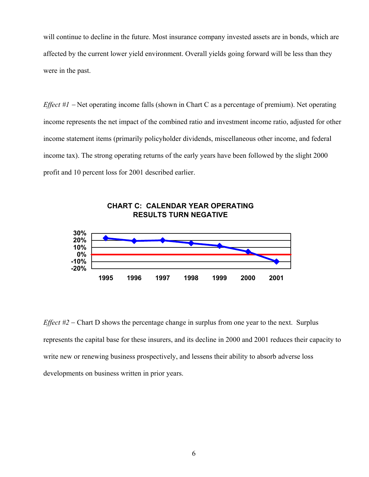will continue to decline in the future. Most insurance company invested assets are in bonds, which are affected by the current lower yield environment. Overall yields going forward will be less than they were in the past.

*Effect #1* − Net operating income falls (shown in Chart C as a percentage of premium). Net operating income represents the net impact of the combined ratio and investment income ratio, adjusted for other income statement items (primarily policyholder dividends, miscellaneous other income, and federal income tax). The strong operating returns of the early years have been followed by the slight 2000 profit and 10 percent loss for 2001 described earlier.



## **CHART C: CALENDAR YEAR OPERATING RESULTS TURN NEGATIVE**

*Effect #2* − Chart D shows the percentage change in surplus from one year to the next. Surplus represents the capital base for these insurers, and its decline in 2000 and 2001 reduces their capacity to write new or renewing business prospectively, and lessens their ability to absorb adverse loss developments on business written in prior years.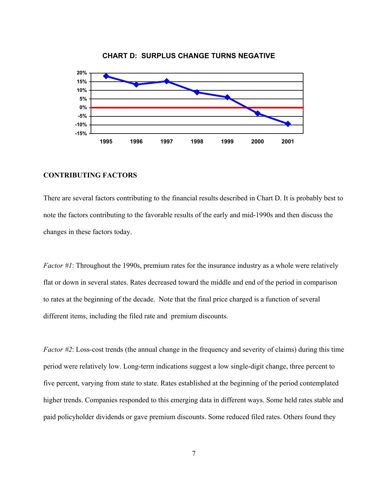

**CHART D: SURPLUS CHANGE TURNS NEGATIVE**

## **CONTRIBUTING FACTORS**

There are several factors contributing to the financial results described in Chart D. It is probably best to note the factors contributing to the favorable results of the early and mid-1990s and then discuss the changes in these factors today.

*Factor #1*: Throughout the 1990s, premium rates for the insurance industry as a whole were relatively flat or down in several states. Rates decreased toward the middle and end of the period in comparison to rates at the beginning of the decade. Note that the final price charged is a function of several different items, including the filed rate and premium discounts.

*Factor #2*: Loss-cost trends (the annual change in the frequency and severity of claims) during this time period were relatively low. Long-term indications suggest a low single-digit change, three percent to five percent, varying from state to state. Rates established at the beginning of the period contemplated higher trends. Companies responded to this emerging data in different ways. Some held rates stable and paid policyholder dividends or gave premium discounts. Some reduced filed rates. Others found they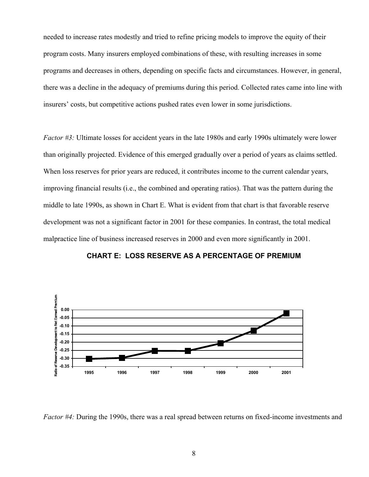needed to increase rates modestly and tried to refine pricing models to improve the equity of their program costs. Many insurers employed combinations of these, with resulting increases in some programs and decreases in others, depending on specific facts and circumstances. However, in general, there was a decline in the adequacy of premiums during this period. Collected rates came into line with insurers' costs, but competitive actions pushed rates even lower in some jurisdictions.

*Factor #3:* Ultimate losses for accident years in the late 1980s and early 1990s ultimately were lower than originally projected. Evidence of this emerged gradually over a period of years as claims settled. When loss reserves for prior years are reduced, it contributes income to the current calendar years, improving financial results (i.e., the combined and operating ratios). That was the pattern during the middle to late 1990s, as shown in Chart E. What is evident from that chart is that favorable reserve development was not a significant factor in 2001 for these companies. In contrast, the total medical malpractice line of business increased reserves in 2000 and even more significantly in 2001.



## **CHART E: LOSS RESERVE AS A PERCENTAGE OF PREMIUM**

*Factor #4:* During the 1990s, there was a real spread between returns on fixed-income investments and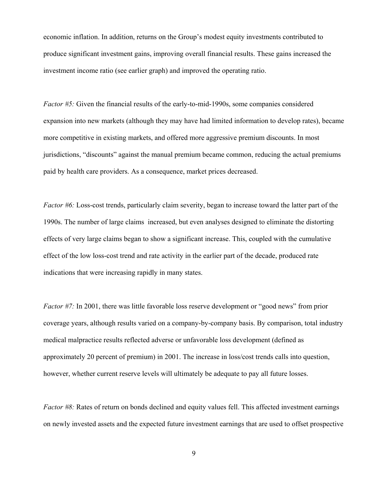economic inflation. In addition, returns on the Group's modest equity investments contributed to produce significant investment gains, improving overall financial results. These gains increased the investment income ratio (see earlier graph) and improved the operating ratio.

*Factor #5:* Given the financial results of the early-to-mid-1990s, some companies considered expansion into new markets (although they may have had limited information to develop rates), became more competitive in existing markets, and offered more aggressive premium discounts. In most jurisdictions, "discounts" against the manual premium became common, reducing the actual premiums paid by health care providers. As a consequence, market prices decreased.

*Factor #6:* Loss-cost trends, particularly claim severity, began to increase toward the latter part of the 1990s. The number of large claims increased, but even analyses designed to eliminate the distorting effects of very large claims began to show a significant increase. This, coupled with the cumulative effect of the low loss-cost trend and rate activity in the earlier part of the decade, produced rate indications that were increasing rapidly in many states.

*Factor #7:* In 2001, there was little favorable loss reserve development or "good news" from prior coverage years, although results varied on a company-by-company basis. By comparison, total industry medical malpractice results reflected adverse or unfavorable loss development (defined as approximately 20 percent of premium) in 2001. The increase in loss/cost trends calls into question, however, whether current reserve levels will ultimately be adequate to pay all future losses.

*Factor #8:* Rates of return on bonds declined and equity values fell. This affected investment earnings on newly invested assets and the expected future investment earnings that are used to offset prospective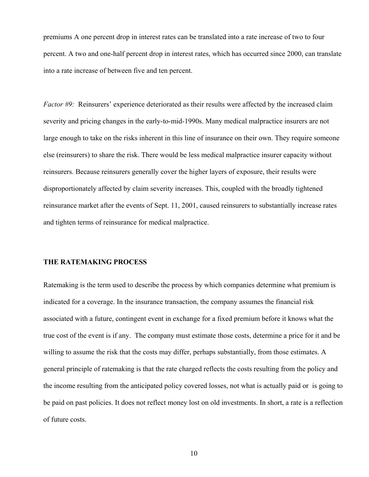premiums A one percent drop in interest rates can be translated into a rate increase of two to four percent. A two and one-half percent drop in interest rates, which has occurred since 2000, can translate into a rate increase of between five and ten percent.

*Factor #9:* Reinsurers' experience deteriorated as their results were affected by the increased claim severity and pricing changes in the early-to-mid-1990s. Many medical malpractice insurers are not large enough to take on the risks inherent in this line of insurance on their own. They require someone else (reinsurers) to share the risk. There would be less medical malpractice insurer capacity without reinsurers. Because reinsurers generally cover the higher layers of exposure, their results were disproportionately affected by claim severity increases. This, coupled with the broadly tightened reinsurance market after the events of Sept. 11, 2001, caused reinsurers to substantially increase rates and tighten terms of reinsurance for medical malpractice.

### **THE RATEMAKING PROCESS**

Ratemaking is the term used to describe the process by which companies determine what premium is indicated for a coverage. In the insurance transaction, the company assumes the financial risk associated with a future, contingent event in exchange for a fixed premium before it knows what the true cost of the event is if any. The company must estimate those costs, determine a price for it and be willing to assume the risk that the costs may differ, perhaps substantially, from those estimates. A general principle of ratemaking is that the rate charged reflects the costs resulting from the policy and the income resulting from the anticipated policy covered losses, not what is actually paid or is going to be paid on past policies. It does not reflect money lost on old investments. In short, a rate is a reflection of future costs.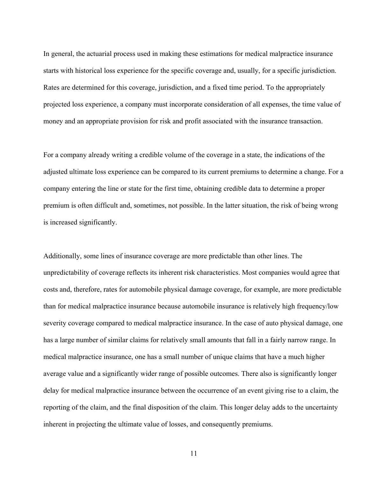In general, the actuarial process used in making these estimations for medical malpractice insurance starts with historical loss experience for the specific coverage and, usually, for a specific jurisdiction. Rates are determined for this coverage, jurisdiction, and a fixed time period. To the appropriately projected loss experience, a company must incorporate consideration of all expenses, the time value of money and an appropriate provision for risk and profit associated with the insurance transaction.

For a company already writing a credible volume of the coverage in a state, the indications of the adjusted ultimate loss experience can be compared to its current premiums to determine a change. For a company entering the line or state for the first time, obtaining credible data to determine a proper premium is often difficult and, sometimes, not possible. In the latter situation, the risk of being wrong is increased significantly.

Additionally, some lines of insurance coverage are more predictable than other lines. The unpredictability of coverage reflects its inherent risk characteristics. Most companies would agree that costs and, therefore, rates for automobile physical damage coverage, for example, are more predictable than for medical malpractice insurance because automobile insurance is relatively high frequency/low severity coverage compared to medical malpractice insurance. In the case of auto physical damage, one has a large number of similar claims for relatively small amounts that fall in a fairly narrow range. In medical malpractice insurance, one has a small number of unique claims that have a much higher average value and a significantly wider range of possible outcomes. There also is significantly longer delay for medical malpractice insurance between the occurrence of an event giving rise to a claim, the reporting of the claim, and the final disposition of the claim. This longer delay adds to the uncertainty inherent in projecting the ultimate value of losses, and consequently premiums.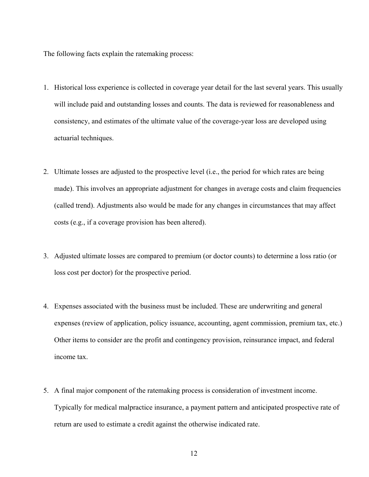The following facts explain the ratemaking process:

- 1. Historical loss experience is collected in coverage year detail for the last several years. This usually will include paid and outstanding losses and counts. The data is reviewed for reasonableness and consistency, and estimates of the ultimate value of the coverage-year loss are developed using actuarial techniques.
- 2. Ultimate losses are adjusted to the prospective level (i.e., the period for which rates are being made). This involves an appropriate adjustment for changes in average costs and claim frequencies (called trend). Adjustments also would be made for any changes in circumstances that may affect costs (e.g., if a coverage provision has been altered).
- 3. Adjusted ultimate losses are compared to premium (or doctor counts) to determine a loss ratio (or loss cost per doctor) for the prospective period.
- 4. Expenses associated with the business must be included. These are underwriting and general expenses (review of application, policy issuance, accounting, agent commission, premium tax, etc.) Other items to consider are the profit and contingency provision, reinsurance impact, and federal income tax.
- 5. A final major component of the ratemaking process is consideration of investment income. Typically for medical malpractice insurance, a payment pattern and anticipated prospective rate of return are used to estimate a credit against the otherwise indicated rate.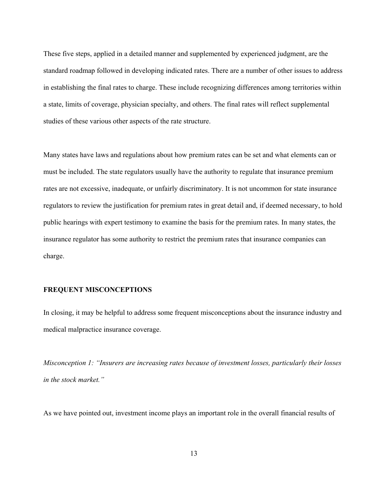These five steps, applied in a detailed manner and supplemented by experienced judgment, are the standard roadmap followed in developing indicated rates. There are a number of other issues to address in establishing the final rates to charge. These include recognizing differences among territories within a state, limits of coverage, physician specialty, and others. The final rates will reflect supplemental studies of these various other aspects of the rate structure.

Many states have laws and regulations about how premium rates can be set and what elements can or must be included. The state regulators usually have the authority to regulate that insurance premium rates are not excessive, inadequate, or unfairly discriminatory. It is not uncommon for state insurance regulators to review the justification for premium rates in great detail and, if deemed necessary, to hold public hearings with expert testimony to examine the basis for the premium rates. In many states, the insurance regulator has some authority to restrict the premium rates that insurance companies can charge.

#### **FREQUENT MISCONCEPTIONS**

In closing, it may be helpful to address some frequent misconceptions about the insurance industry and medical malpractice insurance coverage.

*Misconception 1: "Insurers are increasing rates because of investment losses, particularly their losses in the stock market."*

As we have pointed out, investment income plays an important role in the overall financial results of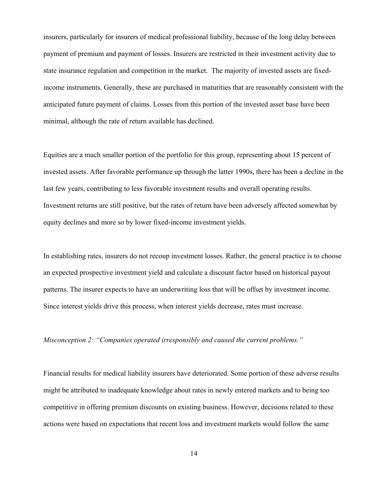insurers, particularly for insurers of medical professional liability, because of the long delay between payment of premium and payment of losses. Insurers are restricted in their investment activity due to state insurance regulation and competition in the market. The majority of invested assets are fixedincome instruments. Generally, these are purchased in maturities that are reasonably consistent with the anticipated future payment of claims. Losses from this portion of the invested asset base have been minimal, although the rate of return available has declined.

Equities are a much smaller portion of the portfolio for this group, representing about 15 percent of invested assets. After favorable performance up through the latter 1990s, there has been a decline in the last few years, contributing to less favorable investment results and overall operating results. Investment returns are still positive, but the rates of return have been adversely affected somewhat by equity declines and more so by lower fixed-income investment yields.

In establishing rates, insurers do not recoup investment losses. Rather, the general practice is to choose an expected prospective investment yield and calculate a discount factor based on historical payout patterns. The insurer expects to have an underwriting loss that will be offset by investment income. Since interest yields drive this process, when interest yields decrease, rates must increase.

*Misconception 2: "Companies operated irresponsibly and caused the current problems."*

Financial results for medical liability insurers have deteriorated. Some portion of these adverse results might be attributed to inadequate knowledge about rates in newly entered markets and to being too competitive in offering premium discounts on existing business. However, decisions related to these actions were based on expectations that recent loss and investment markets would follow the same